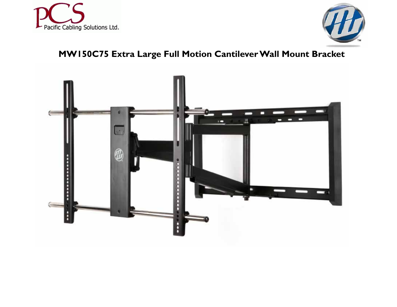



# **MW150C75 Extra Large Full Motion Cantilever Wall Mount Bracket**

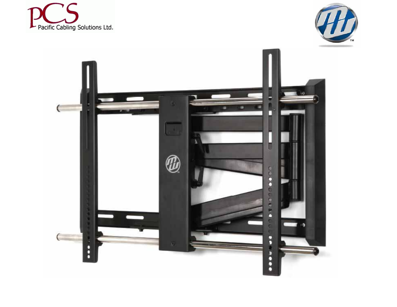



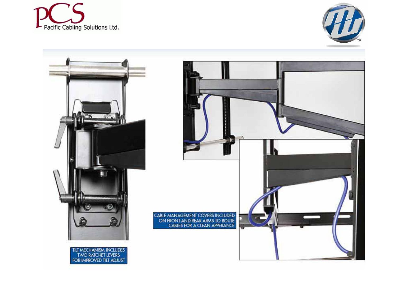



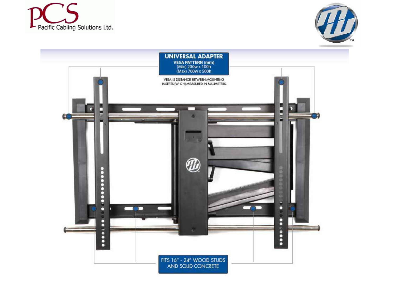



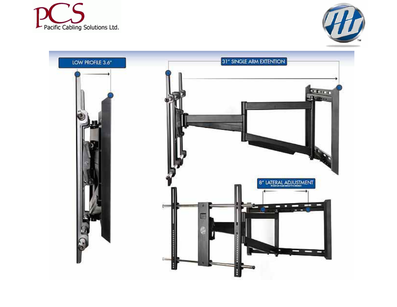



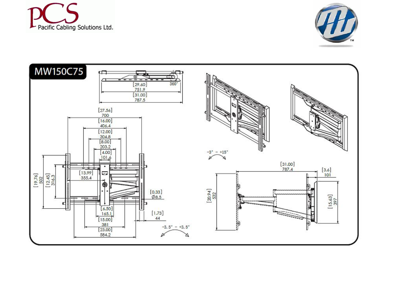